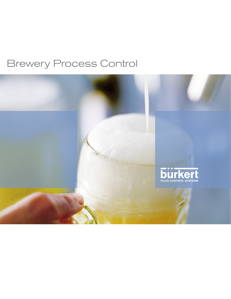### Brewery Process Control

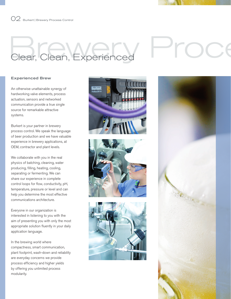02 Burkert | Brewery Process Control

## $B$  Colean, Experienced  $B$

### Experienced Brew

An otherwise unattainable synergy of hardworking valve elements, process actuation, sensors and networked communication provide a true single source for remarkable attractive systems.

Burkert is your partner in brewery process control. We speak the language of beer production and we have valuable experience in brewery applications, at OEM, contractor and plant levels.

We collaborate with you in the real physics of batching, cleaning, water producing, filling, heating, cooling, separating or fermenting. We can share our experience in complete control loops for flow, conductivity, pH, temperature, pressure or level and can help you determine the most effective communications architecture.

Everyone in our organization is interested in listening to you with the aim of presenting you with only the most appropriate solution fluently in your daily application language.

In the brewing world where compactness, smart communication, plant footprint, wash-down and reliability are everyday concerns we provide process efficiency and higher yields by offering you unlimited process modularity.







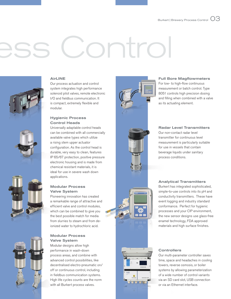# ontrol



#### AirLINE

Our process actuation and control system integrates high performance solenoid pilot valves, remote electronic I/O and fieldbus communication. It is compact, extremely flexible and modular.

#### Hygienic Process Control Heads

Universally adaptable control heads can be combined with all commercially available valve types which utilize a rising stem upper actuator configuration. As the control head is durable, very easy to clean, features IP 65/67 protection, positive pressure electronic housing and is made from chemical resistant materials, it is ideal for use in severe wash down applications.

#### Modular Process Valve System

Pioneering innovation has created a remarkable range of attractive and efficient valve and control modules, which can be combined to give you the best possible match for media from slurries to steam and from deionized water to hydrochloric acid.

#### Modular Process Valve System

Modular designs allow high performance in wash-down process areas, and combine with advanced control possibilities, like decentralised electro-pneumatic on/ off or continuous control, including in fieldbus communication systems. High life cycles counts are the norm with all Burkert process valves.



#### Full Bore Magflowmeters

For low- to high-flow continuous measurement or batch control. Type 8051 controls high precision dosing and filling when combined with a valve as its actuating element.

#### Radar Level Transmitters

Our non-contact radar level transmitter for continuous level measurement is particularly suitable for use in vessels that contain beverage liquids under sanitary process conditions.

Analytical Transmitters Burkert has integrated sophisticated, simple-to-use controls into its pH and conductivity transmitters. These have event logging and industry standard conformance. Perfect for hygienic processes and your CIP environment, the new sensor designs use glass-free enamel technology, FDA approved materials and high surface finishes.



#### **Controllers**

Our multi-parameter controller saves time, space and headaches in cooling towers, reverse osmosis, or boiler systems by allowing parameterization of a wide number of control variants via an SD card slot, USB connection or via an Ethernet interface.